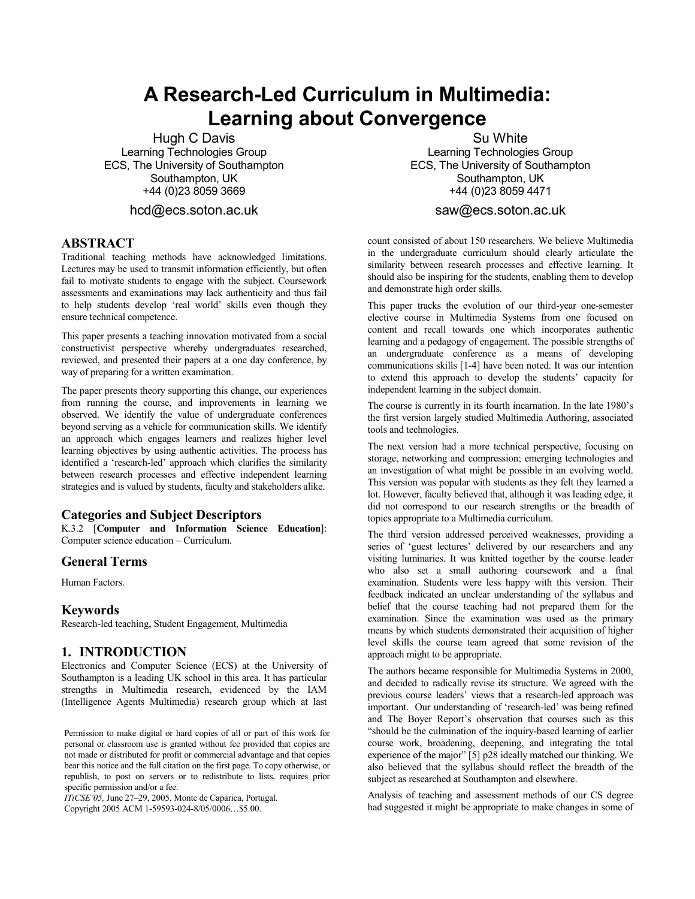# **A Research-Led Curriculum in Multimedia: Learning about Convergence**

Hugh C Davis Learning Technologies Group ECS, The University of Southampton Southampton, UK +44 (0)23 8059 3669

hcd@ecs.soton.ac.uk

# **ABSTRACT**

Traditional teaching methods have acknowledged limitations. Lectures may be used to transmit information efficiently, but often fail to motivate students to engage with the subject. Coursework assessments and examinations may lack authenticity and thus fail to help students develop 'real world' skills even though they ensure technical competence.

This paper presents a teaching innovation motivated from a social constructivist perspective whereby undergraduates researched, reviewed, and presented their papers at a one day conference, by way of preparing for a written examination.

The paper presents theory supporting this change, our experiences from running the course, and improvements in learning we observed. We identify the value of undergraduate conferences beyond serving as a vehicle for communication skills. We identify an approach which engages learners and realizes higher level learning objectives by using authentic activities. The process has identified a 'research-led' approach which clarifies the similarity between research processes and effective independent learning strategies and is valued by students, faculty and stakeholders alike.

## **Categories and Subject Descriptors**

K.3.2 [**Computer and Information Science Education**]: Computer science education – Curriculum.

# **General Terms**

Human Factors.

## **Keywords**

Research-led teaching, Student Engagement, Multimedia

# **1. INTRODUCTION**

Electronics and Computer Science (ECS) at the University of Southampton is a leading UK school in this area. It has particular strengths in Multimedia research, evidenced by the IAM (Intelligence Agents Multimedia) research group which at last

*ITiCSE'05,* June 27–29, 2005, Monte de Caparica, Portugal.

Copyright 2005 ACM 1-59593-024-8/05/0006…\$5.00.

Su White Learning Technologies Group ECS, The University of Southampton Southampton, UK +44 (0)23 8059 4471

#### saw@ecs.soton.ac.uk

count consisted of about 150 researchers. We believe Multimedia in the undergraduate curriculum should clearly articulate the similarity between research processes and effective learning. It should also be inspiring for the students, enabling them to develop and demonstrate high order skills.

This paper tracks the evolution of our third-year one-semester elective course in Multimedia Systems from one focused on content and recall towards one which incorporates authentic learning and a pedagogy of engagement. The possible strengths of an undergraduate conference as a means of developing communications skills [1-4] have been noted. It was our intention to extend this approach to develop the students' capacity for independent learning in the subject domain.

The course is currently in its fourth incarnation. In the late 1980's the first version largely studied Multimedia Authoring, associated tools and technologies.

The next version had a more technical perspective, focusing on storage, networking and compression; emerging technologies and an investigation of what might be possible in an evolving world. This version was popular with students as they felt they learned a lot. However, faculty believed that, although it was leading edge, it did not correspond to our research strengths or the breadth of topics appropriate to a Multimedia curriculum.

The third version addressed perceived weaknesses, providing a series of 'guest lectures' delivered by our researchers and any visiting luminaries. It was knitted together by the course leader who also set a small authoring coursework and a final examination. Students were less happy with this version. Their feedback indicated an unclear understanding of the syllabus and belief that the course teaching had not prepared them for the examination. Since the examination was used as the primary means by which students demonstrated their acquisition of higher level skills the course team agreed that some revision of the approach might to be appropriate.

The authors became responsible for Multimedia Systems in 2000, and decided to radically revise its structure. We agreed with the previous course leaders' views that a research-led approach was important. Our understanding of 'research-led' was being refined and The Boyer Report's observation that courses such as this "should be the culmination of the inquiry-based learning of earlier course work, broadening, deepening, and integrating the total experience of the major" [5] p28 ideally matched our thinking. We also believed that the syllabus should reflect the breadth of the subject as researched at Southampton and elsewhere.

Analysis of teaching and assessment methods of our CS degree had suggested it might be appropriate to make changes in some of

Permission to make digital or hard copies of all or part of this work for personal or classroom use is granted without fee provided that copies are not made or distributed for profit or commercial advantage and that copies bear this notice and the full citation on the first page. To copy otherwise, or republish, to post on servers or to redistribute to lists, requires prior specific permission and/or a fee.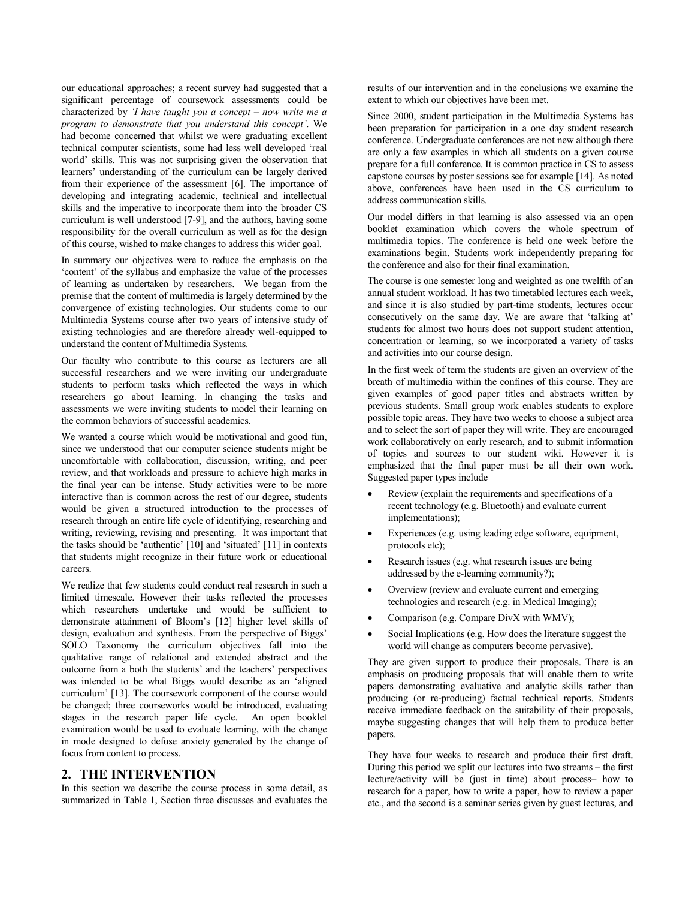our educational approaches; a recent survey had suggested that a significant percentage of coursework assessments could be characterized by *'I have taught you a concept – now write me a program to demonstrate that you understand this concept'*. We had become concerned that whilst we were graduating excellent technical computer scientists, some had less well developed 'real world' skills. This was not surprising given the observation that learners' understanding of the curriculum can be largely derived from their experience of the assessment [6]. The importance of developing and integrating academic, technical and intellectual skills and the imperative to incorporate them into the broader CS curriculum is well understood [7-9], and the authors, having some responsibility for the overall curriculum as well as for the design of this course, wished to make changes to address this wider goal.

In summary our objectives were to reduce the emphasis on the 'content' of the syllabus and emphasize the value of the processes of learning as undertaken by researchers. We began from the premise that the content of multimedia is largely determined by the convergence of existing technologies. Our students come to our Multimedia Systems course after two years of intensive study of existing technologies and are therefore already well-equipped to understand the content of Multimedia Systems.

Our faculty who contribute to this course as lecturers are all successful researchers and we were inviting our undergraduate students to perform tasks which reflected the ways in which researchers go about learning. In changing the tasks and assessments we were inviting students to model their learning on the common behaviors of successful academics.

We wanted a course which would be motivational and good fun, since we understood that our computer science students might be uncomfortable with collaboration, discussion, writing, and peer review, and that workloads and pressure to achieve high marks in the final year can be intense. Study activities were to be more interactive than is common across the rest of our degree, students would be given a structured introduction to the processes of research through an entire life cycle of identifying, researching and writing, reviewing, revising and presenting. It was important that the tasks should be 'authentic' [10] and 'situated' [11] in contexts that students might recognize in their future work or educational careers.

We realize that few students could conduct real research in such a limited timescale. However their tasks reflected the processes which researchers undertake and would be sufficient to demonstrate attainment of Bloom's [12] higher level skills of design, evaluation and synthesis. From the perspective of Biggs' SOLO Taxonomy the curriculum objectives fall into the qualitative range of relational and extended abstract and the outcome from a both the students' and the teachers' perspectives was intended to be what Biggs would describe as an 'aligned curriculum' [13]. The coursework component of the course would be changed; three courseworks would be introduced, evaluating stages in the research paper life cycle. An open booklet examination would be used to evaluate learning, with the change in mode designed to defuse anxiety generated by the change of focus from content to process.

# **2. THE INTERVENTION**

In this section we describe the course process in some detail, as summarized in Table 1, Section three discusses and evaluates the

results of our intervention and in the conclusions we examine the extent to which our objectives have been met.

Since 2000, student participation in the Multimedia Systems has been preparation for participation in a one day student research conference. Undergraduate conferences are not new although there are only a few examples in which all students on a given course prepare for a full conference. It is common practice in CS to assess capstone courses by poster sessions see for example [14]. As noted above, conferences have been used in the CS curriculum to address communication skills.

Our model differs in that learning is also assessed via an open booklet examination which covers the whole spectrum of multimedia topics. The conference is held one week before the examinations begin. Students work independently preparing for the conference and also for their final examination.

The course is one semester long and weighted as one twelfth of an annual student workload. It has two timetabled lectures each week, and since it is also studied by part-time students, lectures occur consecutively on the same day. We are aware that 'talking at' students for almost two hours does not support student attention, concentration or learning, so we incorporated a variety of tasks and activities into our course design.

In the first week of term the students are given an overview of the breath of multimedia within the confines of this course. They are given examples of good paper titles and abstracts written by previous students. Small group work enables students to explore possible topic areas. They have two weeks to choose a subject area and to select the sort of paper they will write. They are encouraged work collaboratively on early research, and to submit information of topics and sources to our student wiki. However it is emphasized that the final paper must be all their own work. Suggested paper types include

- Review (explain the requirements and specifications of a recent technology (e.g. Bluetooth) and evaluate current implementations);
- Experiences (e.g. using leading edge software, equipment, protocols etc);
- Research issues (e.g. what research issues are being addressed by the e-learning community?);
- Overview (review and evaluate current and emerging technologies and research (e.g. in Medical Imaging);
- Comparison (e.g. Compare DivX with WMV);
- Social Implications (e.g. How does the literature suggest the world will change as computers become pervasive).

They are given support to produce their proposals. There is an emphasis on producing proposals that will enable them to write papers demonstrating evaluative and analytic skills rather than producing (or re-producing) factual technical reports. Students receive immediate feedback on the suitability of their proposals, maybe suggesting changes that will help them to produce better papers.

They have four weeks to research and produce their first draft. During this period we split our lectures into two streams – the first lecture/activity will be (just in time) about process– how to research for a paper, how to write a paper, how to review a paper etc., and the second is a seminar series given by guest lectures, and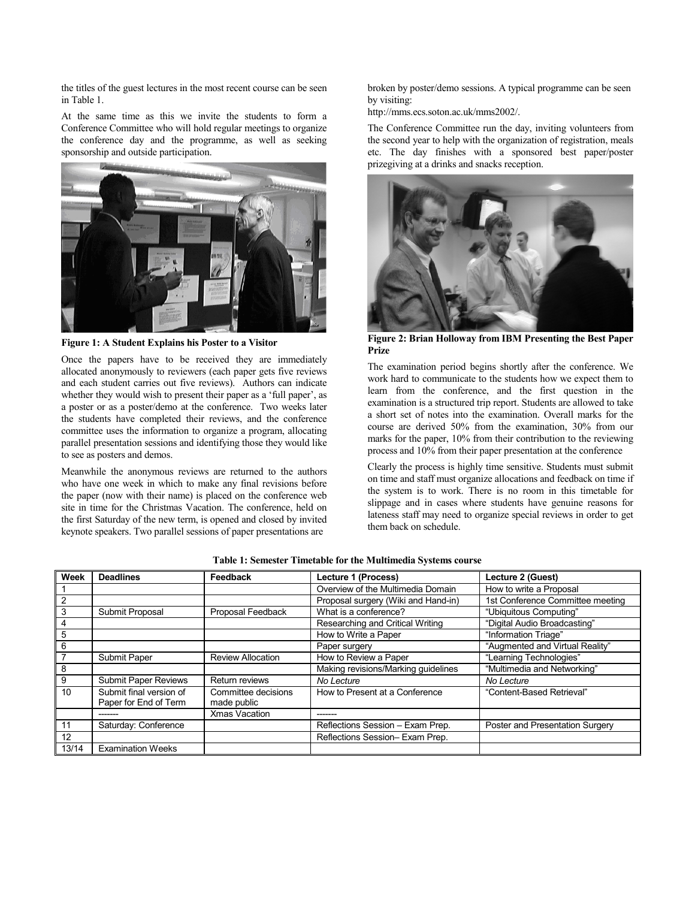the titles of the guest lectures in the most recent course can be seen in Table 1.

At the same time as this we invite the students to form a Conference Committee who will hold regular meetings to organize the conference day and the programme, as well as seeking sponsorship and outside participation.



**Figure 1: A Student Explains his Poster to a Visitor** 

Once the papers have to be received they are immediately allocated anonymously to reviewers (each paper gets five reviews and each student carries out five reviews). Authors can indicate whether they would wish to present their paper as a 'full paper', as a poster or as a poster/demo at the conference. Two weeks later the students have completed their reviews, and the conference committee uses the information to organize a program, allocating parallel presentation sessions and identifying those they would like to see as posters and demos.

Meanwhile the anonymous reviews are returned to the authors who have one week in which to make any final revisions before the paper (now with their name) is placed on the conference web site in time for the Christmas Vacation. The conference, held on the first Saturday of the new term, is opened and closed by invited keynote speakers. Two parallel sessions of paper presentations are

broken by poster/demo sessions. A typical programme can be seen by visiting:

http://mms.ecs.soton.ac.uk/mms2002/.

The Conference Committee run the day, inviting volunteers from the second year to help with the organization of registration, meals etc. The day finishes with a sponsored best paper/poster prizegiving at a drinks and snacks reception.



**Figure 2: Brian Holloway from IBM Presenting the Best Paper Prize** 

The examination period begins shortly after the conference. We work hard to communicate to the students how we expect them to learn from the conference, and the first question in the examination is a structured trip report. Students are allowed to take a short set of notes into the examination. Overall marks for the course are derived 50% from the examination, 30% from our marks for the paper, 10% from their contribution to the reviewing process and 10% from their paper presentation at the conference

Clearly the process is highly time sensitive. Students must submit on time and staff must organize allocations and feedback on time if the system is to work. There is no room in this timetable for slippage and in cases where students have genuine reasons for lateness staff may need to organize special reviews in order to get them back on schedule.

| Week  | <b>Deadlines</b>                                 | Feedback                           | Lecture 1 (Process)                 | Lecture 2 (Guest)                |
|-------|--------------------------------------------------|------------------------------------|-------------------------------------|----------------------------------|
|       |                                                  |                                    | Overview of the Multimedia Domain   | How to write a Proposal          |
| 2     |                                                  |                                    | Proposal surgery (Wiki and Hand-in) | 1st Conference Committee meeting |
| 3     | Submit Proposal                                  | Proposal Feedback                  | What is a conference?               | "Ubiquitous Computing"           |
|       |                                                  |                                    | Researching and Critical Writing    | "Digital Audio Broadcasting"     |
| 5     |                                                  |                                    | How to Write a Paper                | "Information Triage"             |
| 6     |                                                  |                                    | Paper surgery                       | "Augmented and Virtual Reality"  |
|       | Submit Paper                                     | <b>Review Allocation</b>           | How to Review a Paper               | "Learning Technologies"          |
| 8     |                                                  |                                    | Making revisions/Marking guidelines | "Multimedia and Networking"      |
| 9     | <b>Submit Paper Reviews</b>                      | Return reviews                     | No Lecture                          | No Lecture                       |
| 10    | Submit final version of<br>Paper for End of Term | Committee decisions<br>made public | How to Present at a Conference      | "Content-Based Retrieval"        |
|       |                                                  | <b>Xmas Vacation</b>               |                                     |                                  |
| 11    | Saturday: Conference                             |                                    | Reflections Session - Exam Prep.    | Poster and Presentation Surgery  |
| 12    |                                                  |                                    | Reflections Session-Exam Prep.      |                                  |
| 13/14 | <b>Examination Weeks</b>                         |                                    |                                     |                                  |

**Table 1: Semester Timetable for the Multimedia Systems course**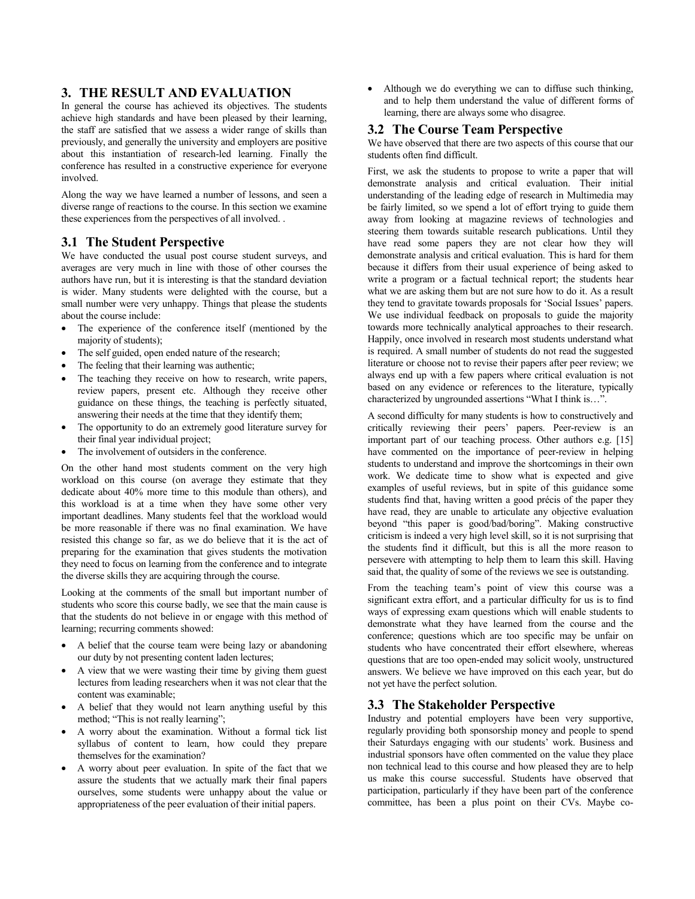# **3. THE RESULT AND EVALUATION**

In general the course has achieved its objectives. The students achieve high standards and have been pleased by their learning, the staff are satisfied that we assess a wider range of skills than previously, and generally the university and employers are positive about this instantiation of research-led learning. Finally the conference has resulted in a constructive experience for everyone involved.

Along the way we have learned a number of lessons, and seen a diverse range of reactions to the course. In this section we examine these experiences from the perspectives of all involved. .

#### **3.1 The Student Perspective**

We have conducted the usual post course student surveys, and averages are very much in line with those of other courses the authors have run, but it is interesting is that the standard deviation is wider. Many students were delighted with the course, but a small number were very unhappy. Things that please the students about the course include:

- The experience of the conference itself (mentioned by the majority of students);
- The self guided, open ended nature of the research;
- The feeling that their learning was authentic;
- The teaching they receive on how to research, write papers, review papers, present etc. Although they receive other guidance on these things, the teaching is perfectly situated, answering their needs at the time that they identify them;
- The opportunity to do an extremely good literature survey for their final year individual project;
- The involvement of outsiders in the conference.

On the other hand most students comment on the very high workload on this course (on average they estimate that they dedicate about 40% more time to this module than others), and this workload is at a time when they have some other very important deadlines. Many students feel that the workload would be more reasonable if there was no final examination. We have resisted this change so far, as we do believe that it is the act of preparing for the examination that gives students the motivation they need to focus on learning from the conference and to integrate the diverse skills they are acquiring through the course.

Looking at the comments of the small but important number of students who score this course badly, we see that the main cause is that the students do not believe in or engage with this method of learning; recurring comments showed:

- A belief that the course team were being lazy or abandoning our duty by not presenting content laden lectures;
- A view that we were wasting their time by giving them guest lectures from leading researchers when it was not clear that the content was examinable;
- A belief that they would not learn anything useful by this method; "This is not really learning";
- A worry about the examination. Without a formal tick list syllabus of content to learn, how could they prepare themselves for the examination?
- A worry about peer evaluation. In spite of the fact that we assure the students that we actually mark their final papers ourselves, some students were unhappy about the value or appropriateness of the peer evaluation of their initial papers.

• Although we do everything we can to diffuse such thinking, and to help them understand the value of different forms of learning, there are always some who disagree.

#### **3.2 The Course Team Perspective**

We have observed that there are two aspects of this course that our students often find difficult.

First, we ask the students to propose to write a paper that will demonstrate analysis and critical evaluation. Their initial understanding of the leading edge of research in Multimedia may be fairly limited, so we spend a lot of effort trying to guide them away from looking at magazine reviews of technologies and steering them towards suitable research publications. Until they have read some papers they are not clear how they will demonstrate analysis and critical evaluation. This is hard for them because it differs from their usual experience of being asked to write a program or a factual technical report; the students hear what we are asking them but are not sure how to do it. As a result they tend to gravitate towards proposals for 'Social Issues' papers. We use individual feedback on proposals to guide the majority towards more technically analytical approaches to their research. Happily, once involved in research most students understand what is required. A small number of students do not read the suggested literature or choose not to revise their papers after peer review; we always end up with a few papers where critical evaluation is not based on any evidence or references to the literature, typically characterized by ungrounded assertions "What I think is…".

A second difficulty for many students is how to constructively and critically reviewing their peers' papers. Peer-review is an important part of our teaching process. Other authors e.g. [15] have commented on the importance of peer-review in helping students to understand and improve the shortcomings in their own work. We dedicate time to show what is expected and give examples of useful reviews, but in spite of this guidance some students find that, having written a good précis of the paper they have read, they are unable to articulate any objective evaluation beyond "this paper is good/bad/boring". Making constructive criticism is indeed a very high level skill, so it is not surprising that the students find it difficult, but this is all the more reason to persevere with attempting to help them to learn this skill. Having said that, the quality of some of the reviews we see is outstanding.

From the teaching team's point of view this course was a significant extra effort, and a particular difficulty for us is to find ways of expressing exam questions which will enable students to demonstrate what they have learned from the course and the conference; questions which are too specific may be unfair on students who have concentrated their effort elsewhere, whereas questions that are too open-ended may solicit wooly, unstructured answers. We believe we have improved on this each year, but do not yet have the perfect solution.

## **3.3 The Stakeholder Perspective**

Industry and potential employers have been very supportive, regularly providing both sponsorship money and people to spend their Saturdays engaging with our students' work. Business and industrial sponsors have often commented on the value they place non technical lead to this course and how pleased they are to help us make this course successful. Students have observed that participation, particularly if they have been part of the conference committee, has been a plus point on their CVs. Maybe co